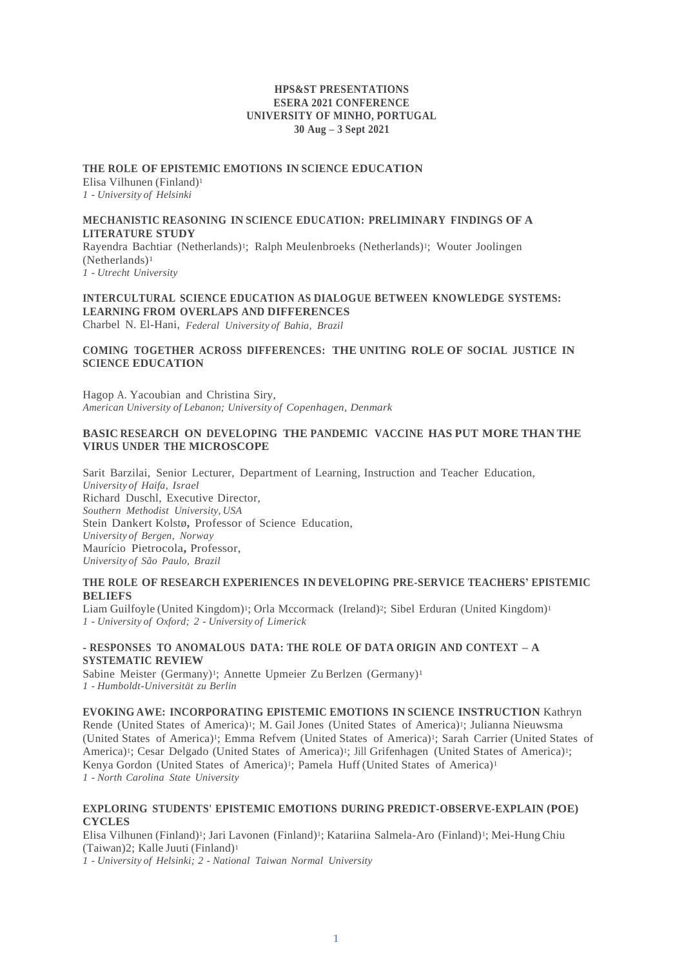#### **HPS&ST PRESENTATIONS ESERA 2021 CONFERENCE UNIVERSITY OF MINHO, PORTUGAL 30 Aug – 3 Sept 2021**

# **THE ROLE OF EPISTEMIC EMOTIONS IN SCIENCE EDUCATION**

Elisa Vilhunen (Finland)<sup>1</sup> *1 - University of Helsinki*

# **MECHANISTIC REASONING IN SCIENCE EDUCATION: PRELIMINARY FINDINGS OF A LITERATURE STUDY**

Rayendra Bachtiar (Netherlands)1; Ralph Meulenbroeks (Netherlands)1; Wouter Joolingen (Netherlands)<sup>1</sup> *1 - Utrecht University*

# **INTERCULTURAL SCIENCE EDUCATION AS DIALOGUE BETWEEN KNOWLEDGE SYSTEMS: LEARNING FROM OVERLAPS AND DIFFERENCES**

Charbel N. El-Hani,*Federal University of Bahia, Brazil*

# **COMING TOGETHER ACROSS DIFFERENCES: THE UNITING ROLE OF SOCIAL JUSTICE IN SCIENCE EDUCATION**

Hagop A. Yacoubian and Christina Siry, *American University of Lebanon; University of Copenhagen, Denmark*

# **BASIC RESEARCH ON DEVELOPING THE PANDEMIC VACCINE HAS PUT MORE THAN THE VIRUS UNDER THE MICROSCOPE**

Sarit Barzilai, Senior Lecturer, Department of Learning, Instruction and Teacher Education, *University of Haifa, Israel* Richard Duschl, Executive Director, *Southern Methodist University, USA* Stein Dankert Kolstø**,** Professor of Science Education, *University of Bergen, Norway* Maurício Pietrocola**,** Professor, *University of São Paulo, Brazil*

# **THE ROLE OF RESEARCH EXPERIENCES IN DEVELOPING PRE-SERVICE TEACHERS' EPISTEMIC BELIEFS**

Liam Guilfoyle (United Kingdom)<sup>1</sup>; Orla Mccormack (Ireland)<sup>2</sup>; Sibel Erduran (United Kingdom)<sup>1</sup> *1 - University of Oxford; 2 - University of Limerick*

# **- RESPONSES TO ANOMALOUS DATA: THE ROLE OF DATA ORIGIN AND CONTEXT – A SYSTEMATIC REVIEW**

Sabine Meister (Germany)<sup>1</sup>: Annette Upmeier Zu Berlzen (Germany)<sup>1</sup> *1 - Humboldt-Universität zu Berlin*

**EVOKING AWE: INCORPORATING EPISTEMIC EMOTIONS IN SCIENCE INSTRUCTION** Kathryn Rende (United States of America)1; M. Gail Jones (United States of America)1; Julianna Nieuwsma (United States of America)1; Emma Refvem (United States of America)1; Sarah Carrier (United States of America)<sup>1</sup>; Cesar Delgado (United States of America)<sup>1</sup>; Jill Grifenhagen (United States of America)<sup>1</sup>; Kenya Gordon (United States of America)<sup>1</sup>; Pamela Huff (United States of America)<sup>1</sup> *1 - North Carolina State University*

# **EXPLORING STUDENTS' EPISTEMIC EMOTIONS DURING PREDICT-OBSERVE-EXPLAIN (POE) CYCLES**

Elisa Vilhunen (Finland)1; Jari Lavonen (Finland)1; Katariina Salmela-Aro (Finland)1; Mei-Hung Chiu (Taiwan)2; Kalle Juuti (Finland)<sup>1</sup>

*1 - University of Helsinki; 2 - National Taiwan Normal University*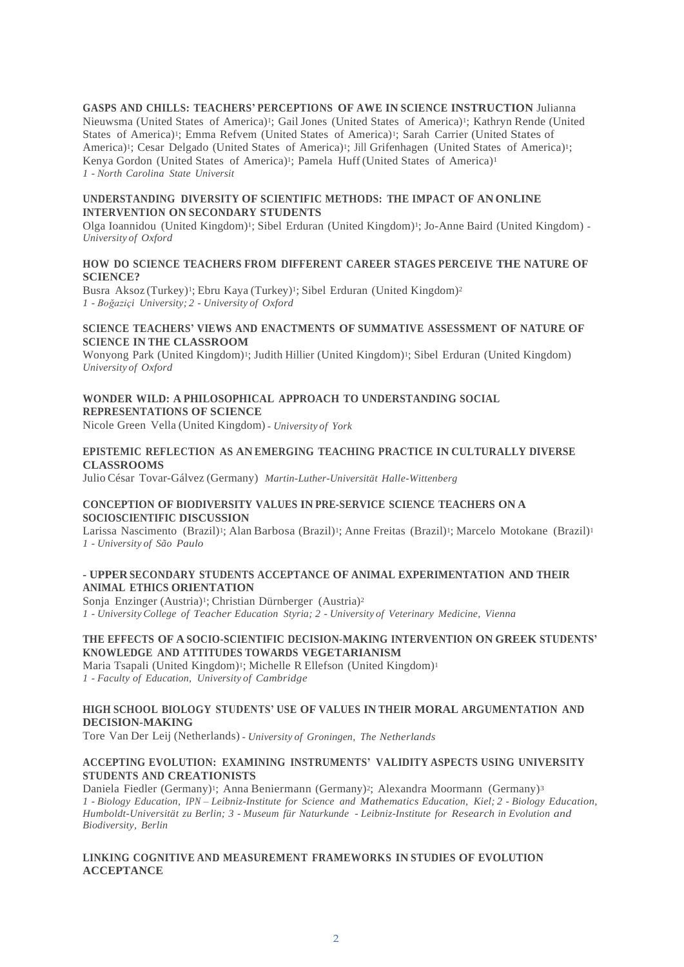# **GASPS AND CHILLS: TEACHERS' PERCEPTIONS OF AWE IN SCIENCE INSTRUCTION** Julianna

Nieuwsma (United States of America)1; Gail Jones (United States of America)1; Kathryn Rende (United States of America)1; Emma Refvem (United States of America)1; Sarah Carrier (United States of America)<sup>1</sup>; Cesar Delgado (United States of America)<sup>1</sup>; Jill Grifenhagen (United States of America)<sup>1</sup>; Kenya Gordon (United States of America) <sup>1</sup>; Pamela Huff (United States of America)<sup>1</sup> *1 - North Carolina State Universit*

# **UNDERSTANDING DIVERSITY OF SCIENTIFIC METHODS: THE IMPACT OF AN ONLINE INTERVENTION ON SECONDARY STUDENTS**

Olga Ioannidou (United Kingdom)1; Sibel Erduran (United Kingdom)1; Jo-Anne Baird (United Kingdom) *- University of Oxford*

## **HOW DO SCIENCE TEACHERS FROM DIFFERENT CAREER STAGES PERCEIVE THE NATURE OF SCIENCE?**

Busra Aksoz (Turkey)<sup>1</sup>; Ebru Kaya (Turkey)<sup>1</sup>; Sibel Erduran (United Kingdom)<sup>2</sup> *1 - Boğaziçi University; 2 - University of Oxford*

### **SCIENCE TEACHERS' VIEWS AND ENACTMENTS OF SUMMATIVE ASSESSMENT OF NATURE OF SCIENCE IN THE CLASSROOM**

Wonyong Park (United Kingdom)<sup>1</sup>; Judith Hillier (United Kingdom)<sup>1</sup>; Sibel Erduran (United Kingdom) *University of Oxford*

# **WONDER WILD: A PHILOSOPHICAL APPROACH TO UNDERSTANDING SOCIAL REPRESENTATIONS OF SCIENCE**

Nicole Green Vella (United Kingdom) *- University of York*

# **EPISTEMIC REFLECTION AS AN EMERGING TEACHING PRACTICE IN CULTURALLY DIVERSE CLASSROOMS**

Julio César Tovar-Gálvez (Germany) *Martin-Luther-Universität Halle-Wittenberg*

### **CONCEPTION OF BIODIVERSITY VALUES IN PRE-SERVICE SCIENCE TEACHERS ON A SOCIOSCIENTIFIC DISCUSSION**

Larissa Nascimento (Brazil)<sup>1</sup>; Alan Barbosa (Brazil)<sup>1</sup>; Anne Freitas (Brazil)<sup>1</sup>; Marcelo Motokane (Brazil)<sup>1</sup> *1 - University of São Paulo*

# **- UPPER SECONDARY STUDENTS ACCEPTANCE OF ANIMAL EXPERIMENTATION AND THEIR ANIMAL ETHICS ORIENTATION**

Sonja Enzinger (Austria)<sup>1</sup>; Christian Dürnberger (Austria)<sup>2</sup> *1 - University College of Teacher Education Styria; 2 - University of Veterinary Medicine, Vienna*

### **THE EFFECTS OF A SOCIO-SCIENTIFIC DECISION-MAKING INTERVENTION ON GREEK STUDENTS' KNOWLEDGE AND ATTITUDES TOWARDS VEGETARIANISM**

Maria Tsapali (United Kingdom)<sup>1</sup>; Michelle R Ellefson (United Kingdom)<sup>1</sup> *1 - Faculty of Education, University of Cambridge*

# **HIGH SCHOOL BIOLOGY STUDENTS' USE OF VALUES IN THEIR MORAL ARGUMENTATION AND DECISION-MAKING**

Tore Van Der Leij (Netherlands) *- University of Groningen, The Netherlands*

# **ACCEPTING EVOLUTION: EXAMINING INSTRUMENTS' VALIDITY ASPECTS USING UNIVERSITY STUDENTS AND CREATIONISTS**

Daniela Fiedler (Germany)<sup>1</sup>; Anna Beniermann (Germany)<sup>2</sup>; Alexandra Moormann (Germany)<sup>3</sup> *1 - Biology Education, IPN – Leibniz-Institute for Science and Mathematics Education, Kiel; 2 - Biology Education, Humboldt-Universität zu Berlin; 3 - Museum für Naturkunde - Leibniz-Institute for Research in Evolution and Biodiversity, Berlin*

# **LINKING COGNITIVE AND MEASUREMENT FRAMEWORKS IN STUDIES OF EVOLUTION ACCEPTANCE**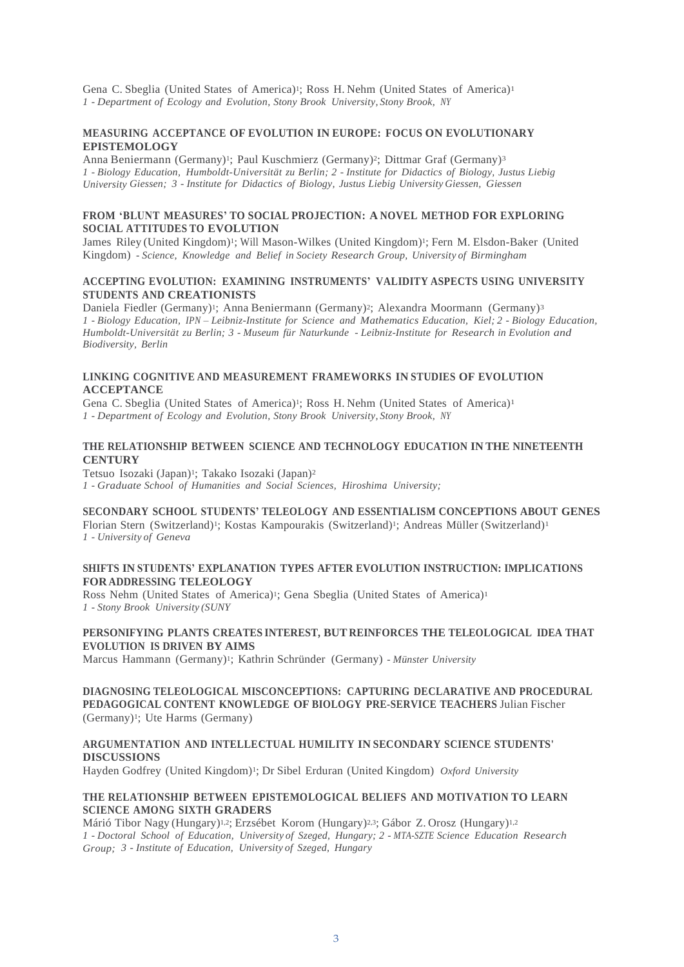Gena C. Sbeglia (United States of America)<sup>1</sup>; Ross H. Nehm (United States of America)<sup>1</sup> *1 - Department of Ecology and Evolution, Stony Brook University, Stony Brook, NY*

# **MEASURING ACCEPTANCE OF EVOLUTION IN EUROPE: FOCUS ON EVOLUTIONARY EPISTEMOLOGY**

Anna Beniermann (Germany)1; Paul Kuschmierz (Germany)2; Dittmar Graf (Germany)<sup>3</sup> *1 - Biology Education, Humboldt-Universität zu Berlin; 2 - Institute for Didactics of Biology, Justus Liebig University Giessen; 3 - Institute for Didactics of Biology, Justus Liebig University Giessen, Giessen*

### **FROM 'BLUNT MEASURES' TO SOCIAL PROJECTION: A NOVEL METHOD FOR EXPLORING SOCIAL ATTITUDES TO EVOLUTION**

James Riley (United Kingdom)1; Will Mason-Wilkes (United Kingdom) <sup>1</sup>; Fern M. Elsdon-Baker (United Kingdom) *- Science, Knowledge and Belief in Society Research Group, University of Birmingham*

# **ACCEPTING EVOLUTION: EXAMINING INSTRUMENTS' VALIDITY ASPECTS USING UNIVERSITY STUDENTS AND CREATIONISTS**

Daniela Fiedler (Germany)<sup>1</sup>; Anna Beniermann (Germany)<sup>2</sup>; Alexandra Moormann (Germany)<sup>3</sup> *1 - Biology Education, IPN – Leibniz-Institute for Science and Mathematics Education, Kiel; 2 - Biology Education, Humboldt-Universität zu Berlin; 3 - Museum für Naturkunde - Leibniz-Institute for Research in Evolution and Biodiversity, Berlin*

# **LINKING COGNITIVE AND MEASUREMENT FRAMEWORKS IN STUDIES OF EVOLUTION ACCEPTANCE**

Gena C. Sbeglia (United States of America)1; Ross H. Nehm (United States of America)<sup>1</sup> *1 - Department of Ecology and Evolution, Stony Brook University, Stony Brook, NY*

# **THE RELATIONSHIP BETWEEN SCIENCE AND TECHNOLOGY EDUCATION IN THE NINETEENTH CENTURY**

Tetsuo Isozaki (Japan)1; Takako Isozaki (Japan)<sup>2</sup> *1 - Graduate School of Humanities and Social Sciences, Hiroshima University;*

# **SECONDARY SCHOOL STUDENTS' TELEOLOGY AND ESSENTIALISM CONCEPTIONS ABOUT GENES**

Florian Stern (Switzerland)1; Kostas Kampourakis (Switzerland)1; Andreas Müller (Switzerland)<sup>1</sup> *1 - University of Geneva*

#### **SHIFTS IN STUDENTS' EXPLANATION TYPES AFTER EVOLUTION INSTRUCTION: IMPLICATIONS FOR ADDRESSING TELEOLOGY**

Ross Nehm (United States of America)1; Gena Sbeglia (United States of America)<sup>1</sup> *1 - Stony Brook University (SUNY*

# **PERSONIFYING PLANTS CREATES INTEREST, BUT REINFORCES THE TELEOLOGICAL IDEA THAT EVOLUTION IS DRIVEN BY AIMS**

Marcus Hammann (Germany)1; Kathrin Schründer (Germany) *- Münster University*

## **DIAGNOSING TELEOLOGICAL MISCONCEPTIONS: CAPTURING DECLARATIVE AND PROCEDURAL PEDAGOGICAL CONTENT KNOWLEDGE OF BIOLOGY PRE-SERVICE TEACHERS** Julian Fischer (Germany)1; Ute Harms (Germany)

# **ARGUMENTATION AND INTELLECTUAL HUMILITY IN SECONDARY SCIENCE STUDENTS' DISCUSSIONS**

Hayden Godfrey (United Kingdom)<sup>1</sup>; Dr Sibel Erduran (United Kingdom) *Oxford University* 

# **THE RELATIONSHIP BETWEEN EPISTEMOLOGICAL BELIEFS AND MOTIVATION TO LEARN SCIENCE AMONG SIXTH GRADERS**

Márió Tibor Nagy (Hungary)<sup>1,2</sup>; Erzsébet Korom (Hungary)<sup>2,3</sup>; Gábor Z. Orosz (Hungary)<sup>1,2</sup> *1 - Doctoral School of Education, University of Szeged, Hungary; 2 - MTA-SZTE Science Education Research Group; 3 - Institute of Education, University of Szeged, Hungary*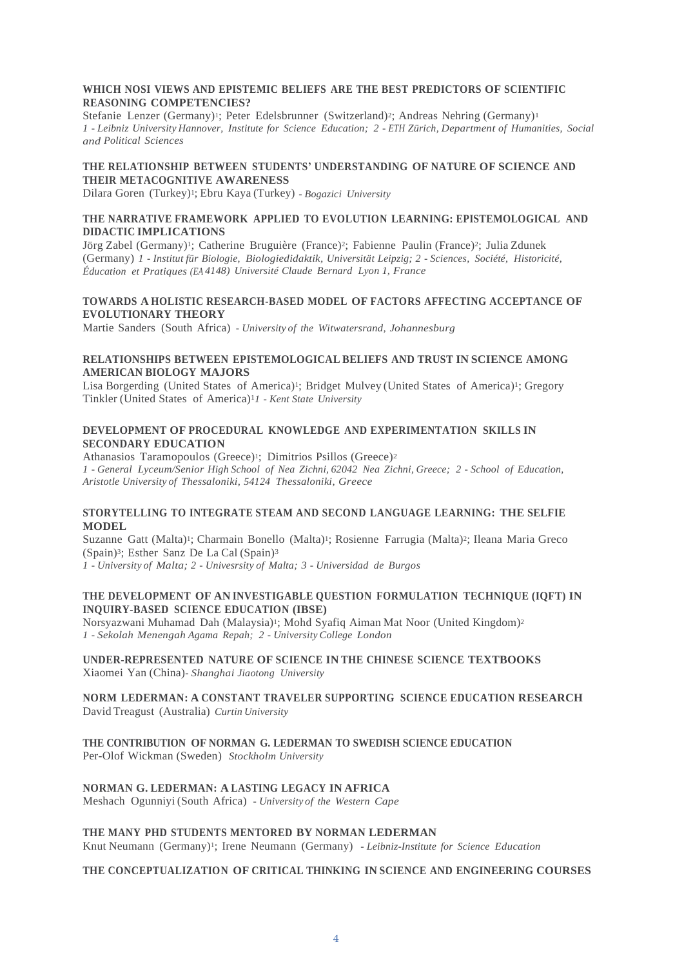## **WHICH NOSI VIEWS AND EPISTEMIC BELIEFS ARE THE BEST PREDICTORS OF SCIENTIFIC REASONING COMPETENCIES?**

Stefanie Lenzer (Germany)<sup>1</sup>; Peter Edelsbrunner (Switzerland)<sup>2</sup>; Andreas Nehring (Germany)<sup>1</sup> *1 - Leibniz University Hannover, Institute for Science Education; 2 - ETH Zürich, Department of Humanities, Social and Political Sciences*

# **THE RELATIONSHIP BETWEEN STUDENTS' UNDERSTANDING OF NATURE OF SCIENCE AND THEIR METACOGNITIVE AWARENESS**

Dilara Goren (Turkey)1; Ebru Kaya (Turkey) *- Bogazici University*

# **THE NARRATIVE FRAMEWORK APPLIED TO EVOLUTION LEARNING: EPISTEMOLOGICAL AND DIDACTIC IMPLICATIONS**

Jörg Zabel (Germany)1; Catherine Bruguière (France)2; Fabienne Paulin (France)2; Julia Zdunek (Germany) *1 - Institut für Biologie, Biologiedidaktik, Universität Leipzig; 2 - Sciences, Société, Historicité, Éducation et Pratiques (EA 4148) Université Claude Bernard Lyon 1, France*

# **TOWARDS A HOLISTIC RESEARCH-BASED MODEL OF FACTORS AFFECTING ACCEPTANCE OF EVOLUTIONARY THEORY**

Martie Sanders (South Africa) *- University of the Witwatersrand, Johannesburg*

# **RELATIONSHIPS BETWEEN EPISTEMOLOGICAL BELIEFS AND TRUST IN SCIENCE AMONG AMERICAN BIOLOGY MAJORS**

Lisa Borgerding (United States of America)<sup>1</sup>; Bridget Mulvey (United States of America)<sup>1</sup>; Gregory Tinkler (United States of America)<sup>1</sup>*1 - Kent State University*

# **DEVELOPMENT OF PROCEDURAL KNOWLEDGE AND EXPERIMENTATION SKILLS IN SECONDARY EDUCATION**

Athanasios Taramopoulos (Greece)<sup>1</sup>; Dimitrios Psillos (Greece)<sup>2</sup> *1 - General Lyceum/Senior High School of Nea Zichni, 62042 Nea Zichni, Greece; 2 - School of Education, Aristotle University of Thessaloniki, 54124 Thessaloniki, Greece*

# **STORYTELLING TO INTEGRATE STEAM AND SECOND LANGUAGE LEARNING: THE SELFIE MODEL**

Suzanne Gatt (Malta)<sup>1</sup>; Charmain Bonello (Malta)<sup>1</sup>; Rosienne Farrugia (Malta)<sup>2</sup>; Ileana Maria Greco (Spain)3; Esther Sanz De La Cal (Spain)<sup>3</sup> *1 - University of Malta; 2 - Univesrsity of Malta; 3 - Universidad de Burgos*

# **THE DEVELOPMENT OF AN INVESTIGABLE QUESTION FORMULATION TECHNIQUE (IQFT) IN INQUIRY-BASED SCIENCE EDUCATION (IBSE)**

Norsyazwani Muhamad Dah (Malaysia)1; Mohd Syafiq Aiman Mat Noor (United Kingdom) 2 *1 - Sekolah Menengah Agama Repah; 2 - University College London*

## **UNDER-REPRESENTED NATURE OF SCIENCE IN THE CHINESE SCIENCE TEXTBOOKS** Xiaomei Yan (China)*- Shanghai Jiaotong University*

**NORM LEDERMAN: A CONSTANT TRAVELER SUPPORTING SCIENCE EDUCATION RESEARCH** David Treagust (Australia) *Curtin University*

**THE CONTRIBUTION OF NORMAN G. LEDERMAN TO SWEDISH SCIENCE EDUCATION** Per-Olof Wickman (Sweden) *Stockholm University*

# **NORMAN G. LEDERMAN: A LASTING LEGACY IN AFRICA**

Meshach Ogunniyi (South Africa) *- University of the Western Cape*

**THE MANY PHD STUDENTS MENTORED BY NORMAN LEDERMAN**

Knut Neumann (Germany)1; Irene Neumann (Germany) *- Leibniz-Institute for Science Education*

# **THE CONCEPTUALIZATION OF CRITICAL THINKING IN SCIENCE AND ENGINEERING COURSES**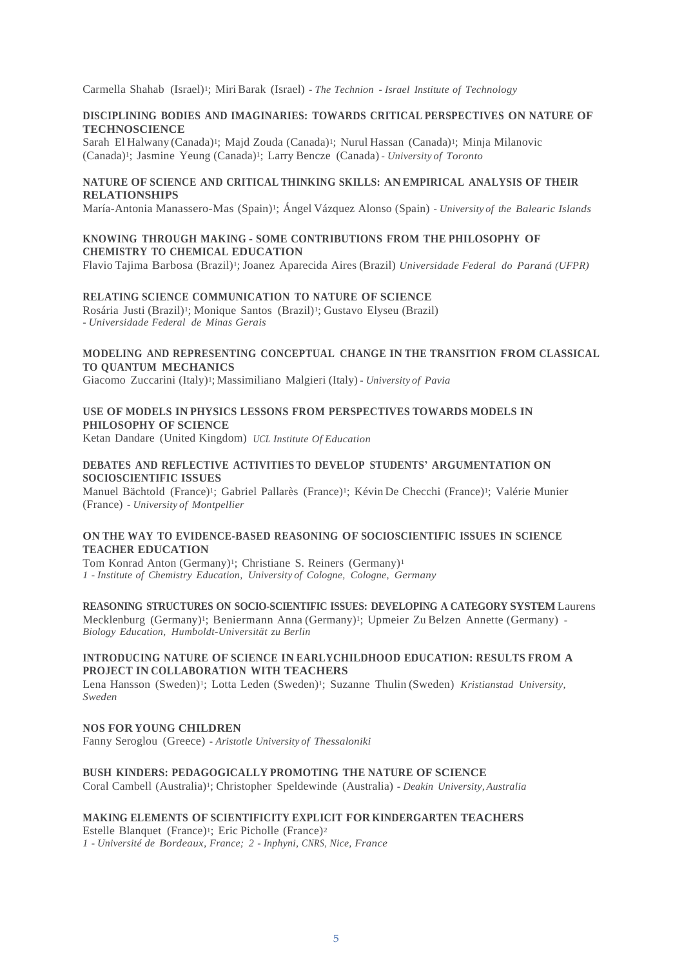Carmella Shahab (Israel)1; Miri Barak (Israel) *- The Technion - Israel Institute of Technology*

#### **DISCIPLINING BODIES AND IMAGINARIES: TOWARDS CRITICAL PERSPECTIVES ON NATURE OF TECHNOSCIENCE**

Sarah El Halwany (Canada)<sup>1</sup>; Majd Zouda (Canada)<sup>1</sup>; Nurul Hassan (Canada)<sup>1</sup>; Minja Milanovic (Canada)1; Jasmine Yeung (Canada)1; Larry Bencze (Canada) *- University of Toronto*

# **NATURE OF SCIENCE AND CRITICAL THINKING SKILLS: AN EMPIRICAL ANALYSIS OF THEIR RELATIONSHIPS**

María-Antonia Manassero-Mas (Spain)1; Ángel Vázquez Alonso (Spain) *- University of the Balearic Islands*

### **KNOWING THROUGH MAKING - SOME CONTRIBUTIONS FROM THE PHILOSOPHY OF CHEMISTRY TO CHEMICAL EDUCATION**

Flavio Tajima Barbosa (Brazil)1; Joanez Aparecida Aires (Brazil) *Universidade Federal do Paraná (UFPR)*

### **RELATING SCIENCE COMMUNICATION TO NATURE OF SCIENCE**

Rosária Justi (Brazil)1; Monique Santos (Brazil)1; Gustavo Elyseu (Brazil) *- Universidade Federal de Minas Gerais*

# **MODELING AND REPRESENTING CONCEPTUAL CHANGE IN THE TRANSITION FROM CLASSICAL TO QUANTUM MECHANICS**

Giacomo Zuccarini (Italy)1; Massimiliano Malgieri (Italy) *- University of Pavia*

# **USE OF MODELS IN PHYSICS LESSONS FROM PERSPECTIVES TOWARDS MODELS IN PHILOSOPHY OF SCIENCE**

Ketan Dandare (United Kingdom) *UCL Institute Of Education*

# **DEBATES AND REFLECTIVE ACTIVITIES TO DEVELOP STUDENTS' ARGUMENTATION ON SOCIOSCIENTIFIC ISSUES**

Manuel Bächtold (France)1; Gabriel Pallarès (France)1; Kévin De Checchi (France)1; Valérie Munier (France) *- University of Montpellier*

# **ON THE WAY TO EVIDENCE-BASED REASONING OF SOCIOSCIENTIFIC ISSUES IN SCIENCE TEACHER EDUCATION**

Tom Konrad Anton (Germany)1; Christiane S. Reiners (Germany)<sup>1</sup> *1 - Institute of Chemistry Education, University of Cologne, Cologne, Germany*

# **REASONING STRUCTURES ON SOCIO-SCIENTIFIC ISSUES: DEVELOPING A CATEGORY SYSTEM** Laurens

Mecklenburg (Germany)<sup>1</sup>; Beniermann Anna (Germany)<sup>1</sup>; Upmeier Zu Belzen Annette (Germany) *-Biology Education, Humboldt-Universität zu Berlin*

# **INTRODUCING NATURE OF SCIENCE IN EARLYCHILDHOOD EDUCATION: RESULTS FROM A PROJECT IN COLLABORATION WITH TEACHERS**

Lena Hansson (Sweden)<sup>1</sup>; Lotta Leden (Sweden)<sup>1</sup>; Suzanne Thulin (Sweden) Kristianstad University, *Sweden*

# **NOS FOR YOUNG CHILDREN**

Fanny Seroglou (Greece) *- Aristotle University of Thessaloniki*

#### **BUSH KINDERS: PEDAGOGICALLY PROMOTING THE NATURE OF SCIENCE**

Coral Cambell (Australia)1; Christopher Speldewinde (Australia) *- Deakin University, Australia*

#### **MAKING ELEMENTS OF SCIENTIFICITY EXPLICIT FOR KINDERGARTEN TEACHERS**

Estelle Blanquet (France)1; Eric Picholle (France)<sup>2</sup>

*1 - Université de Bordeaux, France; 2 - Inphyni, CNRS, Nice, France*